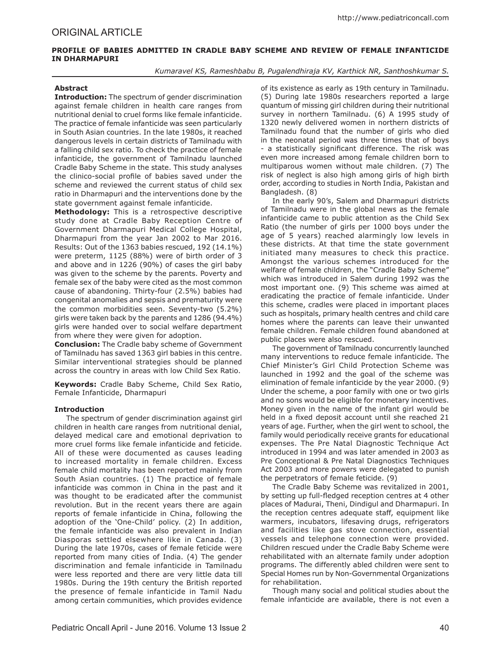# **PROFILE OF BABIES ADMITTED IN CRADLE BABY SCHEME AND REVIEW OF FEMALE INFANTICIDE IN DHARMAPURI**

*Kumaravel KS, Rameshbabu B, Pugalendhiraja KV, Karthick NR, Santhoshkumar S.*

## **Abstract**

**Introduction:** The spectrum of gender discrimination against female children in health care ranges from nutritional denial to cruel forms like female infanticide. The practice of female infanticide was seen particularly in South Asian countries. In the late 1980s, it reached dangerous levels in certain districts of Tamilnadu with a falling child sex ratio. To check the practice of female infanticide, the government of Tamilnadu launched Cradle Baby Scheme in the state. This study analyses the clinico-social profile of babies saved under the scheme and reviewed the current status of child sex ratio in Dharmapuri and the interventions done by the state government against female infanticide.

**Methodology:** This is a retrospective descriptive study done at Cradle Baby Reception Centre of Government Dharmapuri Medical College Hospital, Dharmapuri from the year Jan 2002 to Mar 2016. Results: Out of the 1363 babies rescued, 192 (14.1%) were preterm, 1125 (88%) were of birth order of 3 and above and in 1226 (90%) of cases the girl baby was given to the scheme by the parents. Poverty and female sex of the baby were cited as the most common cause of abandoning. Thirty-four (2.5%) babies had congenital anomalies and sepsis and prematurity were the common morbidities seen. Seventy-two (5.2%) girls were taken back by the parents and 1286 (94.4%) girls were handed over to social welfare department from where they were given for adoption.

**Conclusion:** The Cradle baby scheme of Government of Tamilnadu has saved 1363 girl babies in this centre. Similar interventional strategies should be planned across the country in areas with low Child Sex Ratio.

**Keywords:** Cradle Baby Scheme, Child Sex Ratio, Female Infanticide, Dharmapuri

## **Introduction**

The spectrum of gender discrimination against girl children in health care ranges from nutritional denial, delayed medical care and emotional deprivation to more cruel forms like female infanticide and feticide. All of these were documented as causes leading to increased mortality in female children. Excess female child mortality has been reported mainly from South Asian countries. (1) The practice of female infanticide was common in China in the past and it was thought to be eradicated after the communist revolution. But in the recent years there are again reports of female infanticide in China, following the adoption of the 'One-Child' policy. (2) In addition, the female infanticide was also prevalent in Indian Diasporas settled elsewhere like in Canada. (3) During the late 1970s, cases of female feticide were reported from many cities of India. (4) The gender discrimination and female infanticide in Tamilnadu were less reported and there are very little data till 1980s. During the 19th century the British reported the presence of female infanticide in Tamil Nadu among certain communities, which provides evidence

of its existence as early as 19th century in Tamilnadu. (5) During late 1980s researchers reported a large quantum of missing girl children during their nutritional survey in northern Tamilnadu. (6) A 1995 study of 1320 newly delivered women in northern districts of Tamilnadu found that the number of girls who died in the neonatal period was three times that of boys - a statistically significant difference. The risk was even more increased among female children born to multiparous women without male children. (7) The risk of neglect is also high among girls of high birth order, according to studies in North India, Pakistan and Bangladesh. (8)

In the early 90's, Salem and Dharmapuri districts of Tamilnadu were in the global news as the female infanticide came to public attention as the Child Sex Ratio (the number of girls per 1000 boys under the age of 5 years) reached alarmingly low levels in these districts. At that time the state government initiated many measures to check this practice. Amongst the various schemes introduced for the welfare of female children, the "Cradle Baby Scheme" which was introduced in Salem during 1992 was the most important one. (9) This scheme was aimed at eradicating the practice of female infanticide. Under this scheme, cradles were placed in important places such as hospitals, primary health centres and child care homes where the parents can leave their unwanted female children. Female children found abandoned at public places were also rescued.

The government of Tamilnadu concurrently launched many interventions to reduce female infanticide. The Chief Minister's Girl Child Protection Scheme was launched in 1992 and the goal of the scheme was elimination of female infanticide by the year 2000. (9) Under the scheme, a poor family with one or two girls and no sons would be eligible for monetary incentives. Money given in the name of the infant girl would be held in a fixed deposit account until she reached 21 years of age. Further, when the girl went to school, the family would periodically receive grants for educational expenses. The Pre Natal Diagnostic Technique Act introduced in 1994 and was later amended in 2003 as Pre Conceptional & Pre Natal Diagnostics Techniques Act 2003 and more powers were delegated to punish the perpetrators of female feticide. (9)

The Cradle Baby Scheme was revitalized in 2001, by setting up full-fledged reception centres at 4 other places of Madurai, Theni, Dindigul and Dharmapuri. In the reception centres adequate staff, equipment like warmers, incubators, lifesaving drugs, refrigerators and facilities like gas stove connection, essential vessels and telephone connection were provided. Children rescued under the Cradle Baby Scheme were rehabilitated with an alternate family under adoption programs. The differently abled children were sent to Special Homes run by Non-Governmental Organizations for rehabilitation.

Though many social and political studies about the female infanticide are available, there is not even a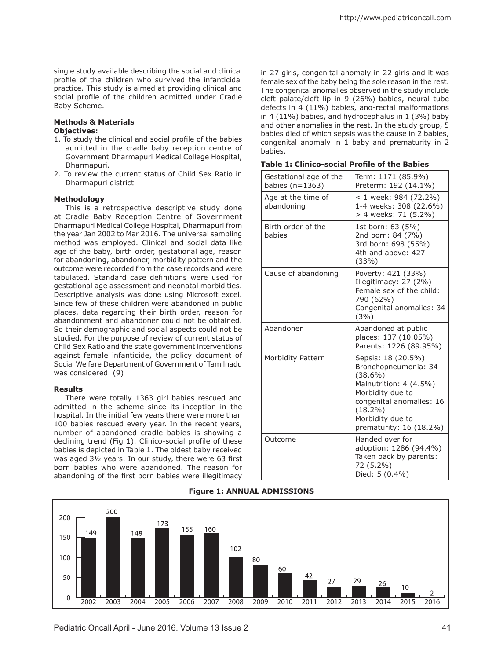single study available describing the social and clinical profile of the children who survived the infanticidal practice. This study is aimed at providing clinical and social profile of the children admitted under Cradle Baby Scheme.

### **Methods & Materials Objectives:**

- 1. To study the clinical and social profile of the babies admitted in the cradle baby reception centre of Government Dharmapuri Medical College Hospital, Dharmapuri.
- 2. To review the current status of Child Sex Ratio in Dharmapuri district

#### **Methodology**

This is a retrospective descriptive study done at Cradle Baby Reception Centre of Government Dharmapuri Medical College Hospital, Dharmapuri from the year Jan 2002 to Mar 2016. The universal sampling method was employed. Clinical and social data like age of the baby, birth order, gestational age, reason for abandoning, abandoner, morbidity pattern and the outcome were recorded from the case records and were tabulated. Standard case definitions were used for gestational age assessment and neonatal morbidities. Descriptive analysis was done using Microsoft excel. Since few of these children were abandoned in public places, data regarding their birth order, reason for abandonment and abandoner could not be obtained. So their demographic and social aspects could not be studied. For the purpose of review of current status of Child Sex Ratio and the state government interventions against female infanticide, the policy document of Social Welfare Department of Government of Tamilnadu was considered. (9)

#### **Results**

There were totally 1363 girl babies rescued and admitted in the scheme since its inception in the hospital. In the initial few years there were more than 100 babies rescued every year. In the recent years, number of abandoned cradle babies is showing a declining trend (Fig 1). Clinico-social profile of these babies is depicted in Table 1. The oldest baby received was aged 3½ years. In our study, there were 63 first born babies who were abandoned. The reason for abandoning of the first born babies were illegitimacy

in 27 girls, congenital anomaly in 22 girls and it was female sex of the baby being the sole reason in the rest. The congenital anomalies observed in the study include cleft palate/cleft lip in 9 (26%) babies, neural tube defects in 4 (11%) babies, ano-rectal malformations in 4 (11%) babies, and hydrocephalus in 1 (3%) baby and other anomalies in the rest. In the study group, 5 babies died of which sepsis was the cause in 2 babies, congenital anomaly in 1 baby and prematurity in 2 babies.

| Gestational age of the<br>babies ( $n=1363$ ) | Term: 1171 (85.9%)<br>Preterm: 192 (14.1%)                                                                                                                                                      |
|-----------------------------------------------|-------------------------------------------------------------------------------------------------------------------------------------------------------------------------------------------------|
| Age at the time of<br>abandoning              | < 1 week: 984 (72.2%)<br>1-4 weeks: 308 (22.6%)<br>> 4 weeks: 71 (5.2%)                                                                                                                         |
| Birth order of the<br>babies                  | 1st born: 63 (5%)<br>2nd born: 84 (7%)<br>3rd born: 698 (55%)<br>4th and above: 427<br>(33%)                                                                                                    |
| Cause of abandoning                           | Poverty: 421 (33%)<br>Illegitimacy: 27 (2%)<br>Female sex of the child:<br>790 (62%)<br>Congenital anomalies: 34<br>(3%)                                                                        |
| Abandoner                                     | Abandoned at public<br>places: 137 (10.05%)<br>Parents: 1226 (89.95%)                                                                                                                           |
| Morbidity Pattern                             | Sepsis: 18 (20.5%)<br>Bronchopneumonia: 34<br>$(38.6\%)$<br>Malnutrition: 4 (4.5%)<br>Morbidity due to<br>congenital anomalies: 16<br>$(18.2\%)$<br>Morbidity due to<br>prematurity: 16 (18.2%) |
| Outcome                                       | Handed over for<br>adoption: 1286 (94.4%)<br>Taken back by parents:<br>72 (5.2%)<br>Died: 5 (0.4%)                                                                                              |

**Table 1: Clinico-social Profile of the Babies**



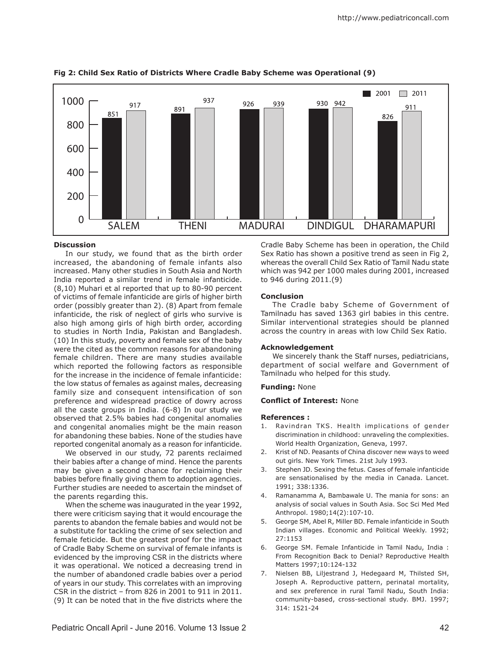

**Fig 2: Child Sex Ratio of Districts Where Cradle Baby Scheme was Operational (9)**

#### **Discussion**

In our study, we found that as the birth order increased, the abandoning of female infants also increased. Many other studies in South Asia and North India reported a similar trend in female infanticide. (8,10) Muhari et al reported that up to 80-90 percent of victims of female infanticide are girls of higher birth order (possibly greater than 2). (8) Apart from female infanticide, the risk of neglect of girls who survive is also high among girls of high birth order, according to studies in North India, Pakistan and Bangladesh. (10) In this study, poverty and female sex of the baby were the cited as the common reasons for abandoning female children. There are many studies available which reported the following factors as responsible for the increase in the incidence of female infanticide: the low status of females as against males, decreasing family size and consequent intensification of son preference and widespread practice of dowry across all the caste groups in India. (6-8) In our study we observed that 2.5% babies had congenital anomalies and congenital anomalies might be the main reason for abandoning these babies. None of the studies have reported congenital anomaly as a reason for infanticide.

We observed in our study, 72 parents reclaimed their babies after a change of mind. Hence the parents may be given a second chance for reclaiming their babies before finally giving them to adoption agencies. Further studies are needed to ascertain the mindset of the parents regarding this.

When the scheme was inaugurated in the year 1992, there were criticism saying that it would encourage the parents to abandon the female babies and would not be a substitute for tackling the crime of sex selection and female feticide. But the greatest proof for the impact of Cradle Baby Scheme on survival of female infants is evidenced by the improving CSR in the districts where it was operational. We noticed a decreasing trend in the number of abandoned cradle babies over a period of years in our study. This correlates with an improving CSR in the district – from 826 in 2001 to 911 in 2011. (9) It can be noted that in the five districts where the

Cradle Baby Scheme has been in operation, the Child Sex Ratio has shown a positive trend as seen in Fig 2, whereas the overall Child Sex Ratio of Tamil Nadu state which was 942 per 1000 males during 2001, increased to 946 during 2011.(9)

## **Conclusion**

The Cradle baby Scheme of Government of Tamilnadu has saved 1363 girl babies in this centre. Similar interventional strategies should be planned across the country in areas with low Child Sex Ratio.

#### **Acknowledgement**

We sincerely thank the Staff nurses, pediatricians, department of social welfare and Government of Tamilnadu who helped for this study.

#### **Funding:** None

### **Conflict of Interest:** None

#### **References :**

- 1. Ravindran TKS. Health implications of gender discrimination in childhood: unraveling the complexities. World Health Organization, Geneva, 1997.
- 2. Krist of ND. Peasants of China discover new ways to weed out girls. New York Times. 21st July 1993.
- 3. Stephen JD. Sexing the fetus. Cases of female infanticide are sensationalised by the media in Canada. Lancet. 1991; 338:1336.
- 4. Ramanamma A, Bambawale U. The mania for sons: an analysis of social values in South Asia. Soc Sci Med Med Anthropol. 1980;14(2):107-10.
- 5. George SM, Abel R, Miller BD. Female infanticide in South Indian villages. Economic and Political Weekly. 1992; 27:1153
- 6. George SM. Female Infanticide in Tamil Nadu, India : From Recognition Back to Denial? Reproductive Health Matters 1997;10:124-132
- 7. Nielsen BB, Liljestrand J, Hedegaard M, Thilsted SH, Joseph A. Reproductive pattern, perinatal mortality, and sex preference in rural Tamil Nadu, South India: community-based, cross-sectional study. BMJ. 1997; 314: 1521-24